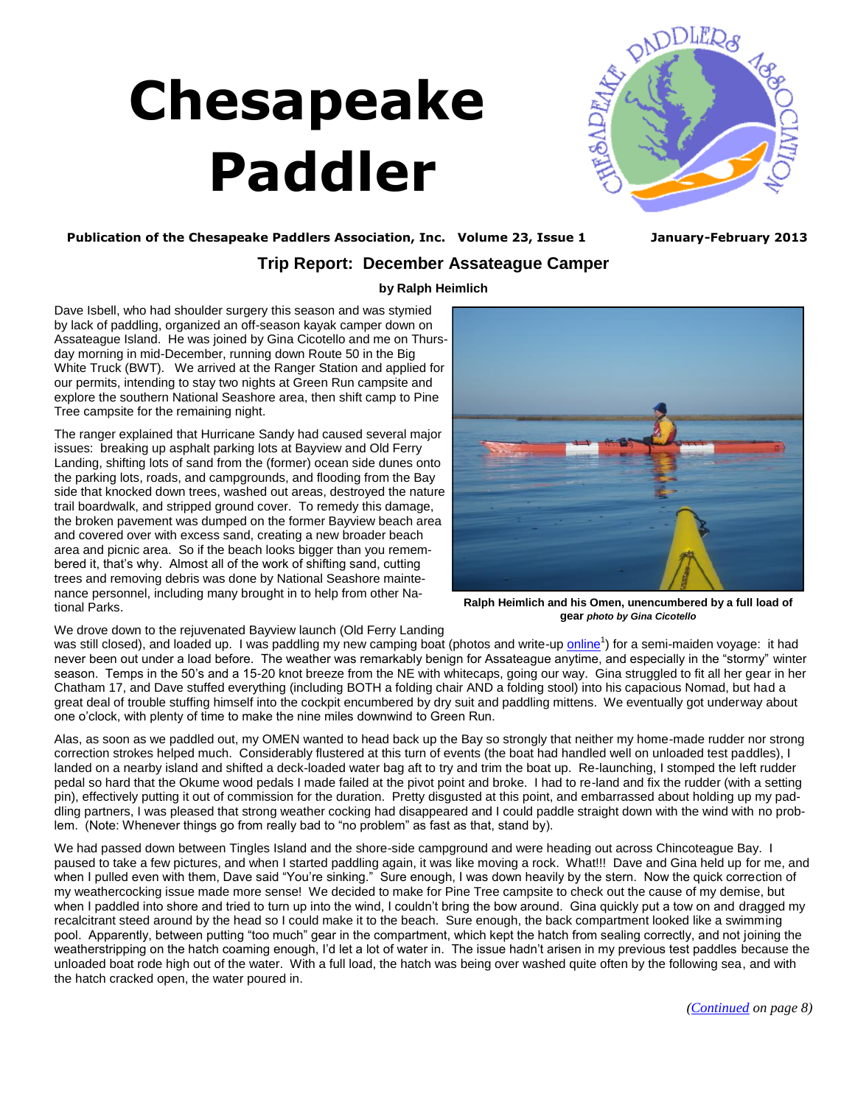# **Chesapeake Paddler**

<span id="page-0-0"></span>

# Publication of the Chesapeake Paddlers Association, Inc. Volume 23, Issue 1 January-February 2013

# **Trip Report: December Assateague Camper**

# **by Ralph Heimlich**

Dave Isbell, who had shoulder surgery this season and was stymied by lack of paddling, organized an off-season kayak camper down on Assateague Island. He was joined by Gina Cicotello and me on Thursday morning in mid-December, running down Route 50 in the Big White Truck (BWT). We arrived at the Ranger Station and applied for our permits, intending to stay two nights at Green Run campsite and explore the southern National Seashore area, then shift camp to Pine Tree campsite for the remaining night.

The ranger explained that Hurricane Sandy had caused several major issues: breaking up asphalt parking lots at Bayview and Old Ferry Landing, shifting lots of sand from the (former) ocean side dunes onto the parking lots, roads, and campgrounds, and flooding from the Bay side that knocked down trees, washed out areas, destroyed the nature trail boardwalk, and stripped ground cover. To remedy this damage, the broken pavement was dumped on the former Bayview beach area and covered over with excess sand, creating a new broader beach area and picnic area. So if the beach looks bigger than you remembered it, that's why. Almost all of the work of shifting sand, cutting trees and removing debris was done by National Seashore maintenance personnel, including many brought in to help from other National Parks.



**Ralph Heimlich and his Omen, unencumbered by a full load of gear** *photo by Gina Cicotello*

We drove down to the rejuvenated Bayview launch (Old Ferry Landing

was still closed), and loaded up. I was paddling my new camping boat (photos and write-up **online<sup>1</sup>)** for a semi-maiden voyage: it had never been out under a load before. The weather was remarkably benign for Assateague anytime, and especially in the "stormy" winter season. Temps in the 50's and a 15-20 knot breeze from the NE with whitecaps, going our way. Gina struggled to fit all her gear in her Chatham 17, and Dave stuffed everything (including BOTH a folding chair AND a folding stool) into his capacious Nomad, but had a great deal of trouble stuffing himself into the cockpit encumbered by dry suit and paddling mittens. We eventually got underway about one o'clock, with plenty of time to make the nine miles downwind to Green Run.

Alas, as soon as we paddled out, my OMEN wanted to head back up the Bay so strongly that neither my home-made rudder nor strong correction strokes helped much. Considerably flustered at this turn of events (the boat had handled well on unloaded test paddles), I landed on a nearby island and shifted a deck-loaded water bag aft to try and trim the boat up. Re-launching, I stomped the left rudder pedal so hard that the Okume wood pedals I made failed at the pivot point and broke. I had to re-land and fix the rudder (with a setting pin), effectively putting it out of commission for the duration. Pretty disgusted at this point, and embarrassed about holding up my paddling partners, I was pleased that strong weather cocking had disappeared and I could paddle straight down with the wind with no problem. (Note: Whenever things go from really bad to "no problem" as fast as that, stand by).

We had passed down between Tingles Island and the shore-side campground and were heading out across Chincoteague Bay. I paused to take a few pictures, and when I started paddling again, it was like moving a rock. What!!! Dave and Gina held up for me, and when I pulled even with them, Dave said "You're sinking." Sure enough, I was down heavily by the stern. Now the quick correction of my weathercocking issue made more sense! We decided to make for Pine Tree campsite to check out the cause of my demise, but when I paddled into shore and tried to turn up into the wind, I couldn't bring the bow around. Gina quickly put a tow on and dragged my recalcitrant steed around by the head so I could make it to the beach. Sure enough, the back compartment looked like a swimming pool. Apparently, between putting "too much" gear in the compartment, which kept the hatch from sealing correctly, and not joining the weatherstripping on the hatch coaming enough, I'd let a lot of water in. The issue hadn't arisen in my previous test paddles because the unloaded boat rode high out of the water. With a full load, the hatch was being over washed quite often by the following sea, and with the hatch cracked open, the water poured in.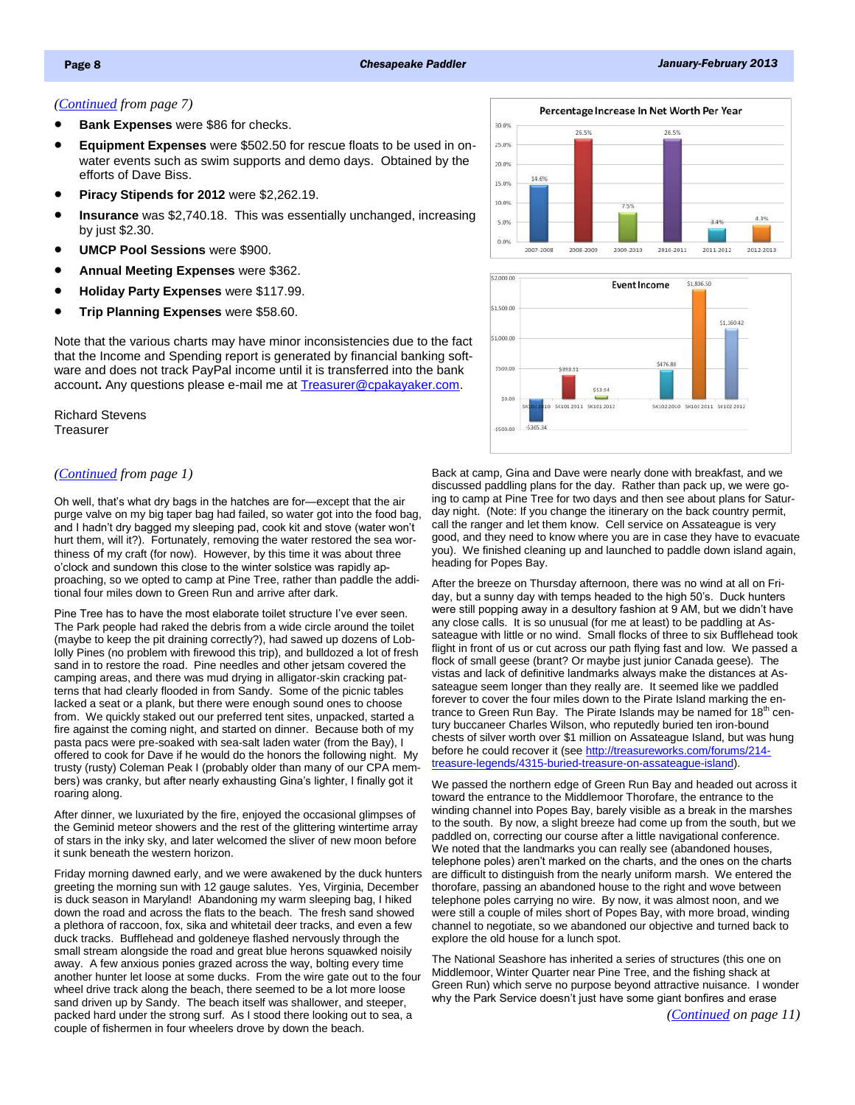## <span id="page-1-0"></span>*(Continued from page 7)*

- **Bank Expenses** were \$86 for checks.
- **Equipment Expenses** were \$502.50 for rescue floats to be used in onwater events such as swim supports and demo days. Obtained by the efforts of Dave Biss.
- **Piracy Stipends for 2012** were \$2,262.19.
- **Insurance** was \$2,740.18. This was essentially unchanged, increasing by just \$2.30.
- **UMCP Pool Sessions** were \$900.
- **Annual Meeting Expenses** were \$362.
- **Holiday Party Expenses** were \$117.99.
- **Trip Planning Expenses** were \$58.60.

Note that the various charts may have minor inconsistencies due to the fact that the Income and Spending report is generated by financial banking software and does not track PayPal income until it is transferred into the bank account**.** Any questions please e-mail me at [Treasurer@cpakayaker.com.](mailto:Treasurer@cpakayaker.com)

Richard Stevens **Treasurer** 

## *[\(Continued](#page-0-0) from page 1)*

Oh well, that's what dry bags in the hatches are for—except that the air purge valve on my big taper bag had failed, so water got into the food bag, and I hadn't dry bagged my sleeping pad, cook kit and stove (water won't hurt them, will it?). Fortunately, removing the water restored the sea worthiness of my craft (for now). However, by this time it was about three o'clock and sundown this close to the winter solstice was rapidly approaching, so we opted to camp at Pine Tree, rather than paddle the additional four miles down to Green Run and arrive after dark.

Pine Tree has to have the most elaborate toilet structure I've ever seen. The Park people had raked the debris from a wide circle around the toilet (maybe to keep the pit draining correctly?), had sawed up dozens of Loblolly Pines (no problem with firewood this trip), and bulldozed a lot of fresh sand in to restore the road. Pine needles and other jetsam covered the camping areas, and there was mud drying in alligator-skin cracking patterns that had clearly flooded in from Sandy. Some of the picnic tables lacked a seat or a plank, but there were enough sound ones to choose from. We quickly staked out our preferred tent sites, unpacked, started a fire against the coming night, and started on dinner. Because both of my pasta pacs were pre-soaked with sea-salt laden water (from the Bay), I offered to cook for Dave if he would do the honors the following night. My trusty (rusty) Coleman Peak I (probably older than many of our CPA members) was cranky, but after nearly exhausting Gina's lighter, I finally got it roaring along.

After dinner, we luxuriated by the fire, enjoyed the occasional glimpses of the Geminid meteor showers and the rest of the glittering wintertime array of stars in the inky sky, and later welcomed the sliver of new moon before it sunk beneath the western horizon.

Friday morning dawned early, and we were awakened by the duck hunters greeting the morning sun with 12 gauge salutes. Yes, Virginia, December is duck season in Maryland! Abandoning my warm sleeping bag, I hiked down the road and across the flats to the beach. The fresh sand showed a plethora of raccoon, fox, sika and whitetail deer tracks, and even a few duck tracks. Bufflehead and goldeneye flashed nervously through the small stream alongside the road and great blue herons squawked noisily away. A few anxious ponies grazed across the way, bolting every time another hunter let loose at some ducks. From the wire gate out to the four wheel drive track along the beach, there seemed to be a lot more loose sand driven up by Sandy. The beach itself was shallower, and steeper, packed hard under the strong surf. As I stood there looking out to sea, a couple of fishermen in four wheelers drove by down the beach.





Back at camp, Gina and Dave were nearly done with breakfast, and we discussed paddling plans for the day. Rather than pack up, we were going to camp at Pine Tree for two days and then see about plans for Saturday night. (Note: If you change the itinerary on the back country permit, call the ranger and let them know. Cell service on Assateague is very good, and they need to know where you are in case they have to evacuate you). We finished cleaning up and launched to paddle down island again, heading for Popes Bay.

After the breeze on Thursday afternoon, there was no wind at all on Friday, but a sunny day with temps headed to the high 50's. Duck hunters were still popping away in a desultory fashion at 9 AM, but we didn't have any close calls. It is so unusual (for me at least) to be paddling at Assateague with little or no wind. Small flocks of three to six Bufflehead took flight in front of us or cut across our path flying fast and low. We passed a flock of small geese (brant? Or maybe just junior Canada geese). The vistas and lack of definitive landmarks always make the distances at Assateague seem longer than they really are. It seemed like we paddled forever to cover the four miles down to the Pirate Island marking the entrance to Green Run Bay. The Pirate Islands may be named for 18<sup>th</sup> century buccaneer Charles Wilson, who reputedly buried ten iron-bound chests of silver worth over \$1 million on Assateague Island, but was hung before he could recover it (see [http://treasureworks.com/forums/214](http://treasureworks.com/forums/214-treasure-legends/4315-buried-treasure-on-assateague-island) [treasure-legends/4315-buried-treasure-on-assateague-island\)](http://treasureworks.com/forums/214-treasure-legends/4315-buried-treasure-on-assateague-island).

We passed the northern edge of Green Run Bay and headed out across it toward the entrance to the Middlemoor Thorofare, the entrance to the winding channel into Popes Bay, barely visible as a break in the marshes to the south. By now, a slight breeze had come up from the south, but we paddled on, correcting our course after a little navigational conference. We noted that the landmarks you can really see (abandoned houses, telephone poles) aren't marked on the charts, and the ones on the charts are difficult to distinguish from the nearly uniform marsh. We entered the thorofare, passing an abandoned house to the right and wove between telephone poles carrying no wire. By now, it was almost noon, and we were still a couple of miles short of Popes Bay, with more broad, winding channel to negotiate, so we abandoned our objective and turned back to explore the old house for a lunch spot.

The National Seashore has inherited a series of structures (this one on Middlemoor, Winter Quarter near Pine Tree, and the fishing shack at Green Run) which serve no purpose beyond attractive nuisance. I wonder why the Park Service doesn't just have some giant bonfires and erase

*[\(Continued](#page-2-0) on page 11)*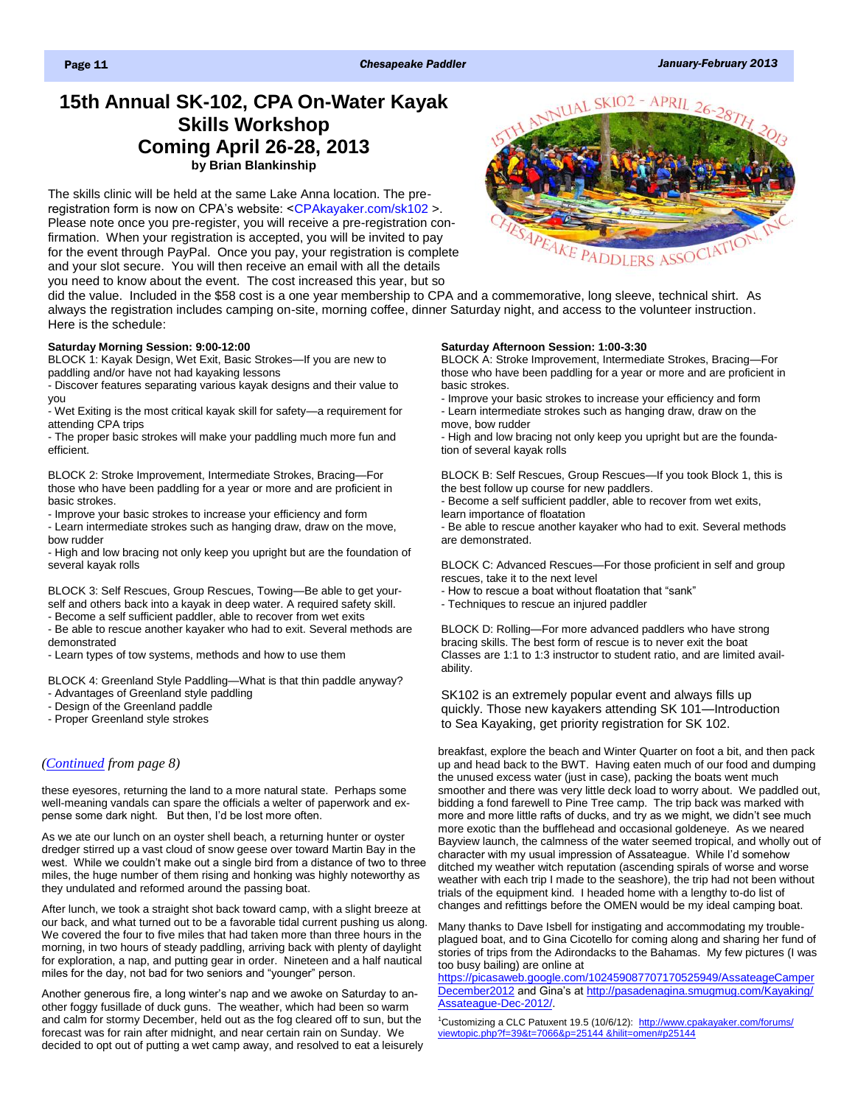# <span id="page-2-0"></span>**15th Annual SK-102, CPA On-Water Kayak Skills Workshop Coming April 26-28, 2013 by Brian Blankinship**

The skills clinic will be held at the same Lake Anna location. The pre-registration form is now on CPA's website: <[CPAkayaker.com/sk102](http://CPAkayaker.com/sk102) >. Please note once you pre-register, you will receive a pre-registration confirmation. When your registration is accepted, you will be invited to pay for the event through PayPal. Once you pay, your registration is complete and your slot secure. You will then receive an email with all the details you need to know about the event. The cost increased this year, but so

did the value. Included in the \$58 cost is a one year membership to CPA and a commemorative, long sleeve, technical shirt. As always the registration includes camping on-site, morning coffee, dinner Saturday night, and access to the volunteer instruction. Here is the schedule:

# **Saturday Morning Session: 9:00-12:00**

BLOCK 1: Kayak Design, Wet Exit, Basic Strokes—If you are new to paddling and/or have not had kayaking lessons

- Discover features separating various kayak designs and their value to you

- Wet Exiting is the most critical kayak skill for safety—a requirement for attending CPA trips

- The proper basic strokes will make your paddling much more fun and efficient.

BLOCK 2: Stroke Improvement, Intermediate Strokes, Bracing—For those who have been paddling for a year or more and are proficient in basic strokes.

- Improve your basic strokes to increase your efficiency and form - Learn intermediate strokes such as hanging draw, draw on the move,

bow rudder - High and low bracing not only keep you upright but are the foundation of several kayak rolls

BLOCK 3: Self Rescues, Group Rescues, Towing—Be able to get yourself and others back into a kayak in deep water. A required safety skill. - Become a self sufficient paddler, able to recover from wet exits

- Be able to rescue another kayaker who had to exit. Several methods are demonstrated

- Learn types of tow systems, methods and how to use them

BLOCK 4: Greenland Style Paddling—What is that thin paddle anyway?

- Advantages of Greenland style paddling

- Design of the Greenland paddle

- Proper Greenland style strokes

# *[\(Continued](#page-1-0) from page 8)*

these eyesores, returning the land to a more natural state. Perhaps some well-meaning vandals can spare the officials a welter of paperwork and expense some dark night. But then, I'd be lost more often.

As we ate our lunch on an oyster shell beach, a returning hunter or oyster dredger stirred up a vast cloud of snow geese over toward Martin Bay in the west. While we couldn't make out a single bird from a distance of two to three miles, the huge number of them rising and honking was highly noteworthy as they undulated and reformed around the passing boat.

After lunch, we took a straight shot back toward camp, with a slight breeze at our back, and what turned out to be a favorable tidal current pushing us along. We covered the four to five miles that had taken more than three hours in the morning, in two hours of steady paddling, arriving back with plenty of daylight for exploration, a nap, and putting gear in order. Nineteen and a half nautical miles for the day, not bad for two seniors and "younger" person.

Another generous fire, a long winter's nap and we awoke on Saturday to another foggy fusillade of duck guns. The weather, which had been so warm and calm for stormy December, held out as the fog cleared off to sun, but the forecast was for rain after midnight, and near certain rain on Sunday. We decided to opt out of putting a wet camp away, and resolved to eat a leisurely

### **Saturday Afternoon Session: 1:00-3:30**

BLOCK A: Stroke Improvement, Intermediate Strokes, Bracing—For those who have been paddling for a year or more and are proficient in basic strokes.

- Improve your basic strokes to increase your efficiency and form - Learn intermediate strokes such as hanging draw, draw on the move, bow rudder

- High and low bracing not only keep you upright but are the foundation of several kayak rolls

BLOCK B: Self Rescues, Group Rescues—If you took Block 1, this is the best follow up course for new paddlers.

- Become a self sufficient paddler, able to recover from wet exits, learn importance of floatation

- Be able to rescue another kayaker who had to exit. Several methods are demonstrated.

BLOCK C: Advanced Rescues—For those proficient in self and group rescues, take it to the next level

- How to rescue a boat without floatation that "sank"

- Techniques to rescue an injured paddler

BLOCK D: Rolling—For more advanced paddlers who have strong bracing skills. The best form of rescue is to never exit the boat Classes are 1:1 to 1:3 instructor to student ratio, and are limited availability.

SK102 is an extremely popular event and always fills up quickly. Those new kayakers attending SK 101—Introduction to Sea Kayaking, get priority registration for SK 102.

breakfast, explore the beach and Winter Quarter on foot a bit, and then pack up and head back to the BWT. Having eaten much of our food and dumping the unused excess water (just in case), packing the boats went much smoother and there was very little deck load to worry about. We paddled out, bidding a fond farewell to Pine Tree camp. The trip back was marked with more and more little rafts of ducks, and try as we might, we didn't see much more exotic than the bufflehead and occasional goldeneye. As we neared Bayview launch, the calmness of the water seemed tropical, and wholly out of character with my usual impression of Assateague. While I'd somehow ditched my weather witch reputation (ascending spirals of worse and worse weather with each trip I made to the seashore), the trip had not been without trials of the equipment kind. I headed home with a lengthy to-do list of changes and refittings before the OMEN would be my ideal camping boat.

Many thanks to Dave Isbell for instigating and accommodating my troubleplagued boat, and to Gina Cicotello for coming along and sharing her fund of stories of trips from the Adirondacks to the Bahamas. My few pictures (I was too busy bailing) are online at

[https://picasaweb.google.com/102459087707170525949/AssateageCamper](https://picasaweb.google.com/102459087707170525949/AssateageCamperDecember2012)  [December2012](https://picasaweb.google.com/102459087707170525949/AssateageCamperDecember2012) and Gina's at [http://pasadenagina.smugmug.com/Kayaking/](http://pasadenagina.smugmug.com/Kayaking/Assateague-Dec-2012/)  [Assateague-Dec-2012/.](http://pasadenagina.smugmug.com/Kayaking/Assateague-Dec-2012/)

<sup>1</sup>Customizing a CLC Patuxent 19.5 (10/6/12): [http://www.cpakayaker.com/forums/](http://www.cpakayaker.com/forums/viewtopic.php?f=39&t=7066&p=25144&hilit=omen#p25144) [viewtopic.php?f=39&t=7066&p=25144 &hilit=omen#p25144](http://www.cpakayaker.com/forums/viewtopic.php?f=39&t=7066&p=25144&hilit=omen#p25144)

APEAKE PADDLERS ASSO